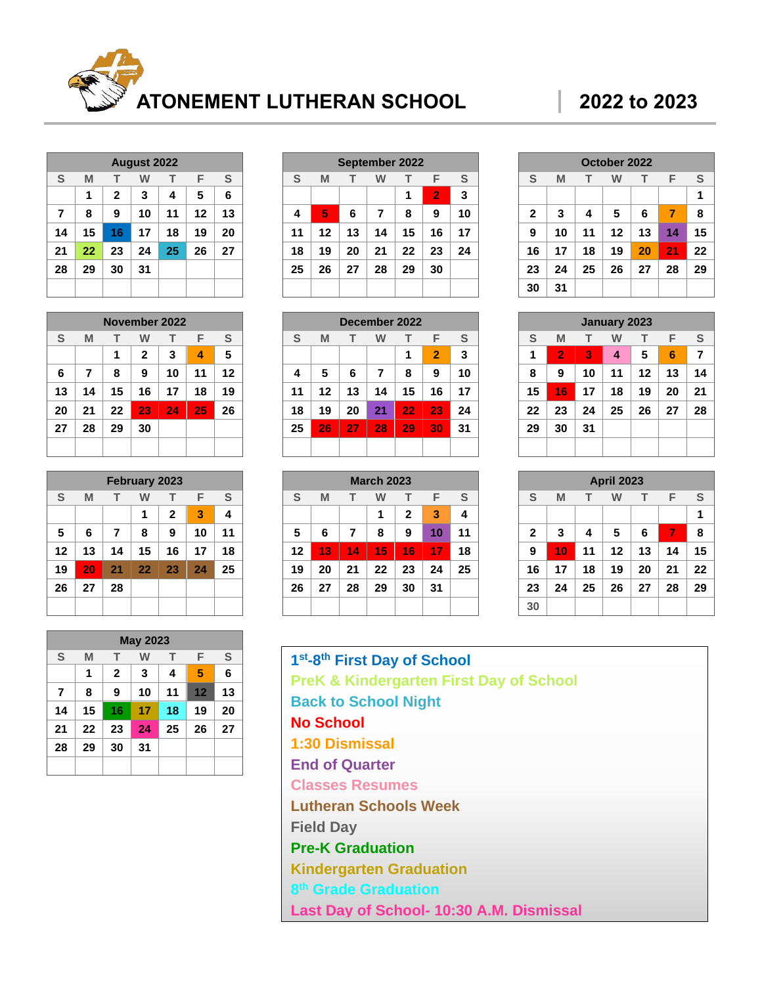

|                |    |              | <b>August 2022</b> |    |    |               |
|----------------|----|--------------|--------------------|----|----|---------------|
| S              | M  | т            | W                  | т  | F  | ${\mathbb S}$ |
|                | 1  | $\mathbf{2}$ | 3                  | 4  | 5  | 6             |
| $\overline{7}$ | 8  | 9            | 10                 | 11 | 12 | 13            |
| 14             | 15 | 16           | 17                 | 18 | 19 | 20            |
| 21             | 22 | 23           | 24                 | 25 | 26 | 27            |
| 28             | 29 | 30           | 31                 |    |    |               |
|                |    |              |                    |    |    |               |

|    | November 2022 |    |              |    |    |    |
|----|---------------|----|--------------|----|----|----|
| S  | M             | т  | w            | т  | F  | S  |
|    |               | 1  | $\mathbf{2}$ | 3  | 4  | 5  |
| 6  | 7             | 8  | 9            | 10 | 11 | 12 |
| 13 | 14            | 15 | 16           | 17 | 18 | 19 |
| 20 | 21            | 22 | 23           | 24 | 25 | 26 |
| 27 | 28            | 29 | 30           |    |    |    |
|    |               |    |              |    |    |    |

| <b>February 2023</b> |    |    |    |              |    |    |
|----------------------|----|----|----|--------------|----|----|
| S                    | M  | т  | W  | т            | F  | S  |
|                      |    |    | 1  | $\mathbf{2}$ | 3  | 4  |
| 5                    | 6  | 7  | 8  | 9            | 10 | 11 |
| 12                   | 13 | 14 | 15 | 16           | 17 | 18 |
| 19                   | 20 | 21 | 22 | 23           | 24 | 25 |
| 26                   | 27 | 28 |    |              |    |    |
|                      |    |    |    |              |    |    |

| <b>September 2022</b> |    |    |    |    |                |               |
|-----------------------|----|----|----|----|----------------|---------------|
| S                     | M  | т  | W  | т  | F              | ${\mathsf S}$ |
|                       |    |    |    | 1  | $\overline{2}$ | 3             |
| 4                     | 5  | 6  | 7  | 8  | 9              | 10            |
| 11                    | 12 | 13 | 14 | 15 | 16             | 17            |
| 18                    | 19 | 20 | 21 | 22 | 23             | 24            |
| 25                    | 26 | 27 | 28 | 29 | 30             |               |
|                       |    |    |    |    |                |               |

| December 2022 |    |    |    |    |                |    |
|---------------|----|----|----|----|----------------|----|
| S             | M  | т  | w  | т  | F              | S  |
|               |    |    |    | 1  | $\overline{2}$ | 3  |
| 4             | 5  | 6  | 7  | 8  | 9              | 10 |
| 11            | 12 | 13 | 14 | 15 | 16             | 17 |
| 18            | 19 | 20 | 21 | 22 | 23             | 24 |
| 25            | 26 | 27 | 28 | 29 | 30             | 31 |
|               |    |    |    |    |                |    |

| <b>March 2023</b> |    |    |    |    |    |    |
|-------------------|----|----|----|----|----|----|
| S                 | M  | т  | W  | т  | F  | S  |
|                   |    |    | 1  | 2  | 3  | 4  |
| 5                 | 6  | 7  | 8  | 9  | 10 | 11 |
| 12                | 13 | 14 | 15 | 16 | 17 | 18 |
| 19                | 20 | 21 | 22 | 23 | 24 | 25 |
| 26                | 27 | 28 | 29 | 30 | 31 |    |
|                   |    |    |    |    |    |    |

| October 2022 |    |    |    |    |    |    |
|--------------|----|----|----|----|----|----|
| S            | M  | т  | w  | т  | F  | S  |
|              |    |    |    |    |    | 1  |
| $\mathbf{2}$ | 3  | 4  | 5  | 6  | 7  | 8  |
| 9            | 10 | 11 | 12 | 13 | 14 | 15 |
| 16           | 17 | 18 | 19 | 20 | 21 | 22 |
| 23           | 24 | 25 | 26 | 27 | 28 | 29 |
| 30           | 31 |    |    |    |    |    |

| <b>January 2023</b> |    |    |    |    |    |    |
|---------------------|----|----|----|----|----|----|
| S                   | M  | т  | w  | т  | F  | S  |
| 1                   | 2  | 3  | 4  | 5  | 6  | 7  |
| 8                   | 9  | 10 | 11 | 12 | 13 | 14 |
| 15                  | 16 | 17 | 18 | 19 | 20 | 21 |
| 22                  | 23 | 24 | 25 | 26 | 27 | 28 |
| 29                  | 30 | 31 |    |    |    |    |
|                     |    |    |    |    |    |    |

| <b>April 2023</b> |    |    |    |    |    |    |
|-------------------|----|----|----|----|----|----|
| S                 | M  | т  | W  | т  | F  | S  |
|                   |    |    |    |    |    | 1  |
| $\mathbf{2}$      | 3  | 4  | 5  | 6  | 7  | 8  |
| 9                 | 10 | 11 | 12 | 13 | 14 | 15 |
| 16                | 17 | 18 | 19 | 20 | 21 | 22 |
| 23                | 24 | 25 | 26 | 27 | 28 | 29 |
| 30                |    |    |    |    |    |    |

| 1st-8th First Day of School                        |
|----------------------------------------------------|
| <b>PreK &amp; Kindergarten First Day of School</b> |
| <b>Back to School Night</b>                        |
| <b>No School</b>                                   |
| 1:30 Dismissal                                     |
| <b>End of Quarter</b>                              |
| <b>Classes Resumes</b>                             |
| <b>Lutheran Schools Week</b>                       |
| <b>Field Day</b>                                   |
| <b>Pre-K Graduation</b>                            |
| <b>Kindergarten Graduation</b>                     |
| 8 <sup>th</sup> Grade Graduation                   |
| Last Day of School- 10:30 A.M. Dismissal           |

|                |    |              | <b>May 2023</b> |    |    |    |
|----------------|----|--------------|-----------------|----|----|----|
| S              | M  | т            | W               | т  | F  | S  |
|                | 1  | $\mathbf{2}$ | 3               | 4  | 5  | 6  |
| $\overline{7}$ | 8  | 9            | 10              | 11 | 12 | 13 |
| 14             | 15 | 16           | 17              | 18 | 19 | 20 |
| 21             | 22 | 23           | 24              | 25 | 26 | 27 |
| 28             | 29 | 30           | 31              |    |    |    |
|                |    |              |                 |    |    |    |